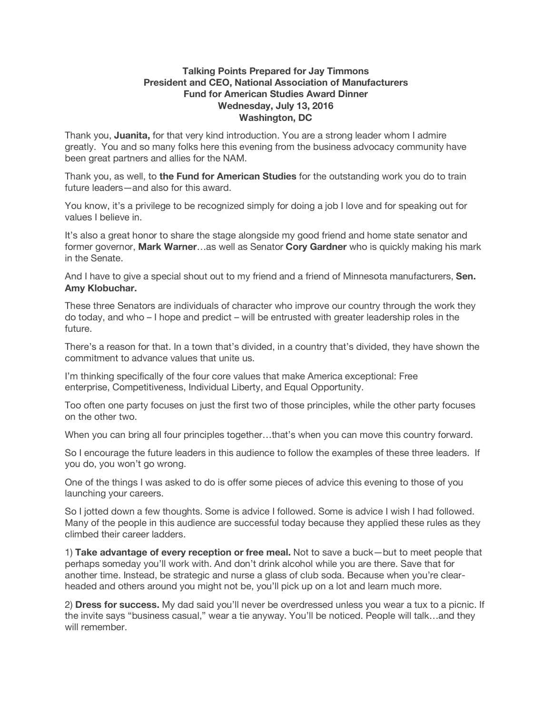## **Talking Points Prepared for Jay Timmons President and CEO, National Association of Manufacturers Fund for American Studies Award Dinner Wednesday, July 13, 2016 Washington, DC**

Thank you, **Juanita,** for that very kind introduction. You are a strong leader whom I admire greatly. You and so many folks here this evening from the business advocacy community have been great partners and allies for the NAM.

Thank you, as well, to **the Fund for American Studies** for the outstanding work you do to train future leaders—and also for this award.

You know, it's a privilege to be recognized simply for doing a job I love and for speaking out for values I believe in.

It's also a great honor to share the stage alongside my good friend and home state senator and former governor, **Mark Warner**…as well as Senator **Cory Gardner** who is quickly making his mark in the Senate.

And I have to give a special shout out to my friend and a friend of Minnesota manufacturers, **Sen. Amy Klobuchar.**

These three Senators are individuals of character who improve our country through the work they do today, and who – I hope and predict – will be entrusted with greater leadership roles in the future.

There's a reason for that. In a town that's divided, in a country that's divided, they have shown the commitment to advance values that unite us.

I'm thinking specifically of the four core values that make America exceptional: Free enterprise, Competitiveness, Individual Liberty, and Equal Opportunity.

Too often one party focuses on just the first two of those principles, while the other party focuses on the other two.

When you can bring all four principles together…that's when you can move this country forward.

So I encourage the future leaders in this audience to follow the examples of these three leaders. If you do, you won't go wrong.

One of the things I was asked to do is offer some pieces of advice this evening to those of you launching your careers.

So I jotted down a few thoughts. Some is advice I followed. Some is advice I wish I had followed. Many of the people in this audience are successful today because they applied these rules as they climbed their career ladders.

1) **Take advantage of every reception or free meal.** Not to save a buck—but to meet people that perhaps someday you'll work with. And don't drink alcohol while you are there. Save that for another time. Instead, be strategic and nurse a glass of club soda. Because when you're clearheaded and others around you might not be, you'll pick up on a lot and learn much more.

2) **Dress for success.** My dad said you'll never be overdressed unless you wear a tux to a picnic. If the invite says "business casual," wear a tie anyway. You'll be noticed. People will talk…and they will remember.